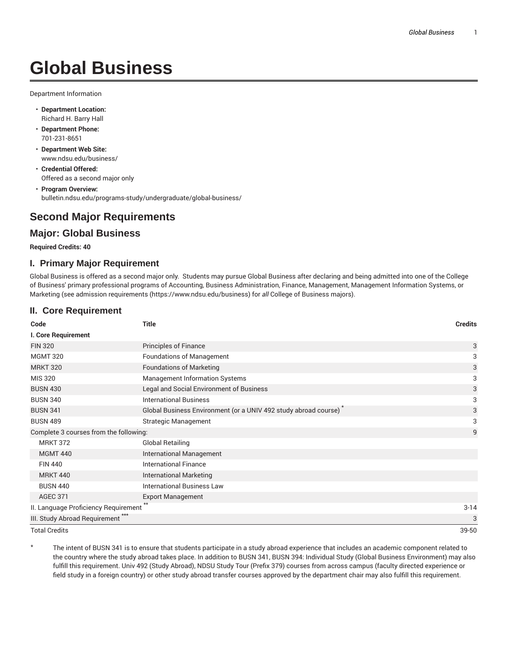# **Global Business**

Department Information

- **Department Location:** Richard H. Barry Hall
- **Department Phone:** 701-231-8651
- **Department Web Site:** www.ndsu.edu/business/
- **Credential Offered:** Offered as a second major only
- **Program Overview:** bulletin.ndsu.edu/programs-study/undergraduate/global-business/

## **Second Major Requirements**

### **Major: Global Business**

#### **Required Credits: 40**

#### **I. Primary Major Requirement**

Global Business is offered as a second major only. Students may pursue Global Business after declaring and being admitted into one of the College of Business' primary professional programs of Accounting, Business Administration, Finance, Management, Management Information Systems, or Marketing (see admission requirements (https://www.ndsu.edu/business) for *all* College of Business majors).

#### **II. Core Requirement**

| Code                                         | <b>Title</b>                                                    | <b>Credits</b> |
|----------------------------------------------|-----------------------------------------------------------------|----------------|
| I. Core Requirement                          |                                                                 |                |
| <b>FIN 320</b>                               | <b>Principles of Finance</b>                                    | 3              |
| <b>MGMT 320</b>                              | <b>Foundations of Management</b>                                | 3              |
| <b>MRKT 320</b>                              | <b>Foundations of Marketing</b>                                 | 3              |
| MIS 320                                      | <b>Management Information Systems</b>                           | 3              |
| <b>BUSN 430</b>                              | Legal and Social Environment of Business                        | 3              |
| <b>BUSN 340</b>                              | <b>International Business</b>                                   | 3              |
| <b>BUSN 341</b>                              | Global Business Environment (or a UNIV 492 study abroad course) | 3              |
| <b>BUSN 489</b>                              | Strategic Management                                            | 3              |
| Complete 3 courses from the following:       |                                                                 | 9              |
| <b>MRKT 372</b>                              | <b>Global Retailing</b>                                         |                |
| <b>MGMT 440</b>                              | International Management                                        |                |
| <b>FIN 440</b>                               | <b>International Finance</b>                                    |                |
| <b>MRKT 440</b>                              | <b>International Marketing</b>                                  |                |
| <b>BUSN 440</b>                              | <b>International Business Law</b>                               |                |
| <b>AGEC 371</b>                              | <b>Export Management</b>                                        |                |
| II. Language Proficiency Requirement         |                                                                 | $3-14$         |
| III. Study Abroad Requirement <sup>***</sup> |                                                                 | 3              |
| <b>Total Credits</b>                         |                                                                 | 39-50          |

The intent of BUSN 341 is to ensure that students participate in a study abroad experience that includes an academic component related to the country where the study abroad takes place. In addition to BUSN 341, BUSN 394: Individual Study (Global Business Environment) may also fulfill this requirement. Univ 492 (Study Abroad), NDSU Study Tour (Prefix 379) courses from across campus (faculty directed experience or field study in a foreign country) or other study abroad transfer courses approved by the department chair may also fulfill this requirement.